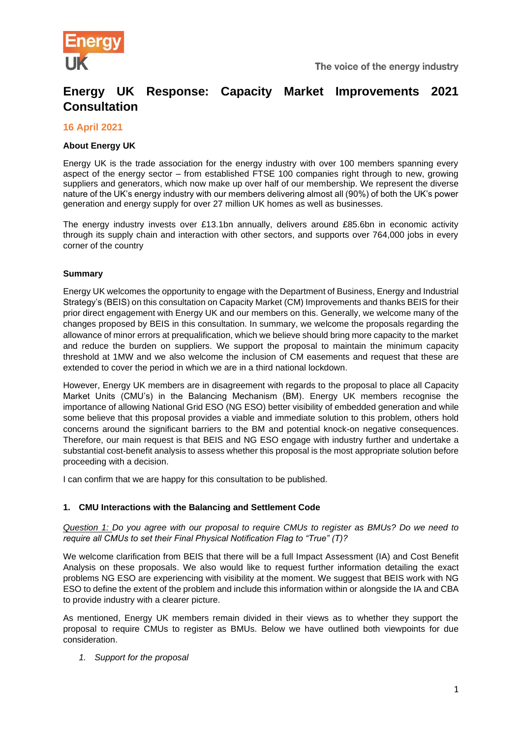

# **Energy UK Response: Capacity Market Improvements 2021 Consultation**

## **16 April 2021**

## **About Energy UK**

Energy UK is the trade association for the energy industry with over 100 members spanning every aspect of the energy sector – from established FTSE 100 companies right through to new, growing suppliers and generators, which now make up over half of our membership. We represent the diverse nature of the UK's energy industry with our members delivering almost all (90%) of both the UK's power generation and energy supply for over 27 million UK homes as well as businesses.

The energy industry invests over £13.1bn annually, delivers around £85.6bn in economic activity through its supply chain and interaction with other sectors, and supports over 764,000 jobs in every corner of the country

#### **Summary**

Energy UK welcomes the opportunity to engage with the Department of Business, Energy and Industrial Strategy's (BEIS) on this consultation on Capacity Market (CM) Improvements and thanks BEIS for their prior direct engagement with Energy UK and our members on this. Generally, we welcome many of the changes proposed by BEIS in this consultation. In summary, we welcome the proposals regarding the allowance of minor errors at prequalification, which we believe should bring more capacity to the market and reduce the burden on suppliers. We support the proposal to maintain the minimum capacity threshold at 1MW and we also welcome the inclusion of CM easements and request that these are extended to cover the period in which we are in a third national lockdown.

However, Energy UK members are in disagreement with regards to the proposal to place all Capacity Market Units (CMU's) in the Balancing Mechanism (BM). Energy UK members recognise the importance of allowing National Grid ESO (NG ESO) better visibility of embedded generation and while some believe that this proposal provides a viable and immediate solution to this problem, others hold concerns around the significant barriers to the BM and potential knock-on negative consequences. Therefore, our main request is that BEIS and NG ESO engage with industry further and undertake a substantial cost-benefit analysis to assess whether this proposal is the most appropriate solution before proceeding with a decision.

I can confirm that we are happy for this consultation to be published.

#### **1. CMU Interactions with the Balancing and Settlement Code**

## *Question 1: Do you agree with our proposal to require CMUs to register as BMUs? Do we need to require all CMUs to set their Final Physical Notification Flag to "True" (T)?*

We welcome clarification from BEIS that there will be a full Impact Assessment (IA) and Cost Benefit Analysis on these proposals. We also would like to request further information detailing the exact problems NG ESO are experiencing with visibility at the moment. We suggest that BEIS work with NG ESO to define the extent of the problem and include this information within or alongside the IA and CBA to provide industry with a clearer picture.

As mentioned, Energy UK members remain divided in their views as to whether they support the proposal to require CMUs to register as BMUs. Below we have outlined both viewpoints for due consideration.

*1. Support for the proposal*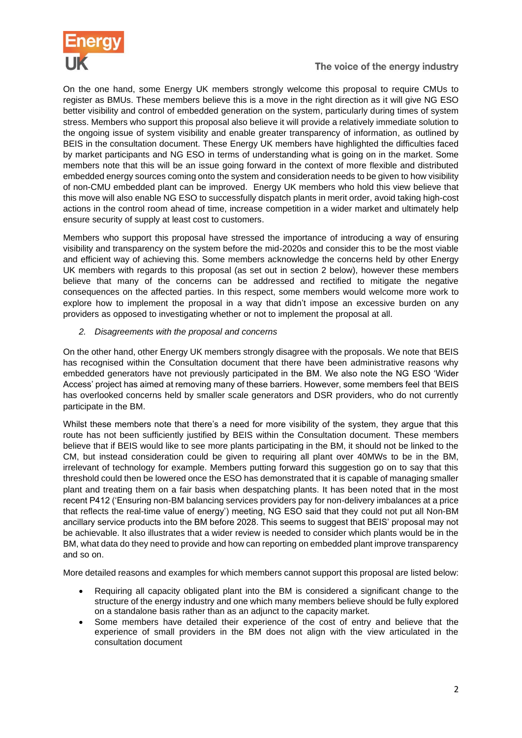

On the one hand, some Energy UK members strongly welcome this proposal to require CMUs to register as BMUs. These members believe this is a move in the right direction as it will give NG ESO better visibility and control of embedded generation on the system, particularly during times of system stress. Members who support this proposal also believe it will provide a relatively immediate solution to the ongoing issue of system visibility and enable greater transparency of information, as outlined by BEIS in the consultation document. These Energy UK members have highlighted the difficulties faced by market participants and NG ESO in terms of understanding what is going on in the market. Some members note that this will be an issue going forward in the context of more flexible and distributed embedded energy sources coming onto the system and consideration needs to be given to how visibility of non-CMU embedded plant can be improved. Energy UK members who hold this view believe that this move will also enable NG ESO to successfully dispatch plants in merit order, avoid taking high-cost actions in the control room ahead of time, increase competition in a wider market and ultimately help ensure security of supply at least cost to customers.

Members who support this proposal have stressed the importance of introducing a way of ensuring visibility and transparency on the system before the mid-2020s and consider this to be the most viable and efficient way of achieving this. Some members acknowledge the concerns held by other Energy UK members with regards to this proposal (as set out in section 2 below), however these members believe that many of the concerns can be addressed and rectified to mitigate the negative consequences on the affected parties. In this respect, some members would welcome more work to explore how to implement the proposal in a way that didn't impose an excessive burden on any providers as opposed to investigating whether or not to implement the proposal at all.

# *2. Disagreements with the proposal and concerns*

On the other hand, other Energy UK members strongly disagree with the proposals. We note that BEIS has recognised within the Consultation document that there have been administrative reasons why embedded generators have not previously participated in the BM. We also note the NG ESO 'Wider Access' project has aimed at removing many of these barriers. However, some members feel that BEIS has overlooked concerns held by smaller scale generators and DSR providers, who do not currently participate in the BM.

Whilst these members note that there's a need for more visibility of the system, they argue that this route has not been sufficiently justified by BEIS within the Consultation document. These members believe that if BEIS would like to see more plants participating in the BM, it should not be linked to the CM, but instead consideration could be given to requiring all plant over 40MWs to be in the BM, irrelevant of technology for example. Members putting forward this suggestion go on to say that this threshold could then be lowered once the ESO has demonstrated that it is capable of managing smaller plant and treating them on a fair basis when despatching plants. It has been noted that in the most recent P412 ('Ensuring non-BM balancing services providers pay for non-delivery imbalances at a price that reflects the real-time value of energy') meeting, NG ESO said that they could not put all Non-BM ancillary service products into the BM before 2028. This seems to suggest that BEIS' proposal may not be achievable. It also illustrates that a wider review is needed to consider which plants would be in the BM, what data do they need to provide and how can reporting on embedded plant improve transparency and so on.

More detailed reasons and examples for which members cannot support this proposal are listed below:

- Requiring all capacity obligated plant into the BM is considered a significant change to the structure of the energy industry and one which many members believe should be fully explored on a standalone basis rather than as an adjunct to the capacity market.
- Some members have detailed their experience of the cost of entry and believe that the experience of small providers in the BM does not align with the view articulated in the consultation document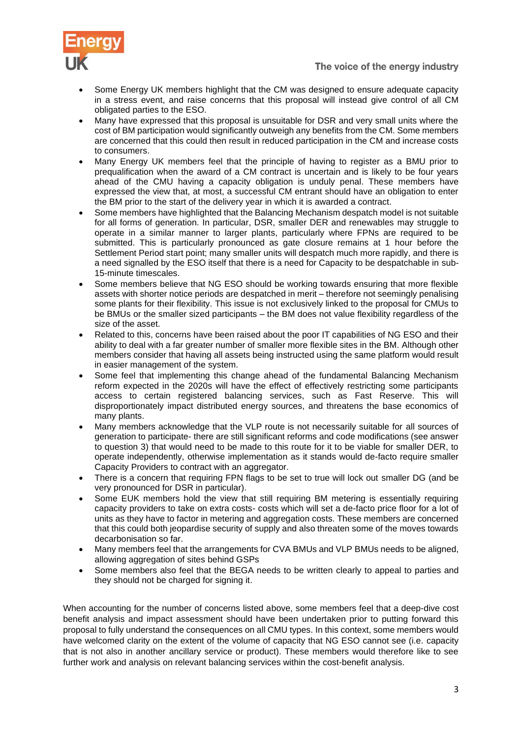

- Some Energy UK members highlight that the CM was designed to ensure adequate capacity in a stress event, and raise concerns that this proposal will instead give control of all CM obligated parties to the ESO.
- Many have expressed that this proposal is unsuitable for DSR and very small units where the cost of BM participation would significantly outweigh any benefits from the CM. Some members are concerned that this could then result in reduced participation in the CM and increase costs to consumers.
- Many Energy UK members feel that the principle of having to register as a BMU prior to prequalification when the award of a CM contract is uncertain and is likely to be four years ahead of the CMU having a capacity obligation is unduly penal. These members have expressed the view that, at most, a successful CM entrant should have an obligation to enter the BM prior to the start of the delivery year in which it is awarded a contract.
- Some members have highlighted that the Balancing Mechanism despatch model is not suitable for all forms of generation. In particular, DSR, smaller DER and renewables may struggle to operate in a similar manner to larger plants, particularly where FPNs are required to be submitted. This is particularly pronounced as gate closure remains at 1 hour before the Settlement Period start point; many smaller units will despatch much more rapidly, and there is a need signalled by the ESO itself that there is a need for Capacity to be despatchable in sub-15-minute timescales.
- Some members believe that NG ESO should be working towards ensuring that more flexible assets with shorter notice periods are despatched in merit – therefore not seemingly penalising some plants for their flexibility. This issue is not exclusively linked to the proposal for CMUs to be BMUs or the smaller sized participants – the BM does not value flexibility regardless of the size of the asset.
- Related to this, concerns have been raised about the poor IT capabilities of NG ESO and their ability to deal with a far greater number of smaller more flexible sites in the BM. Although other members consider that having all assets being instructed using the same platform would result in easier management of the system.
- Some feel that implementing this change ahead of the fundamental Balancing Mechanism reform expected in the 2020s will have the effect of effectively restricting some participants access to certain registered balancing services, such as Fast Reserve. This will disproportionately impact distributed energy sources, and threatens the base economics of many plants.
- Many members acknowledge that the VLP route is not necessarily suitable for all sources of generation to participate- there are still significant reforms and code modifications (see answer to question 3) that would need to be made to this route for it to be viable for smaller DER, to operate independently, otherwise implementation as it stands would de-facto require smaller Capacity Providers to contract with an aggregator.
- There is a concern that requiring FPN flags to be set to true will lock out smaller DG (and be very pronounced for DSR in particular).
- Some EUK members hold the view that still requiring BM metering is essentially requiring capacity providers to take on extra costs- costs which will set a de-facto price floor for a lot of units as they have to factor in metering and aggregation costs. These members are concerned that this could both jeopardise security of supply and also threaten some of the moves towards decarbonisation so far.
- Many members feel that the arrangements for CVA BMUs and VLP BMUs needs to be aligned, allowing aggregation of sites behind GSPs
- Some members also feel that the BEGA needs to be written clearly to appeal to parties and they should not be charged for signing it.

When accounting for the number of concerns listed above, some members feel that a deep-dive cost benefit analysis and impact assessment should have been undertaken prior to putting forward this proposal to fully understand the consequences on all CMU types. In this context, some members would have welcomed clarity on the extent of the volume of capacity that NG ESO cannot see (i.e. capacity that is not also in another ancillary service or product). These members would therefore like to see further work and analysis on relevant balancing services within the cost-benefit analysis.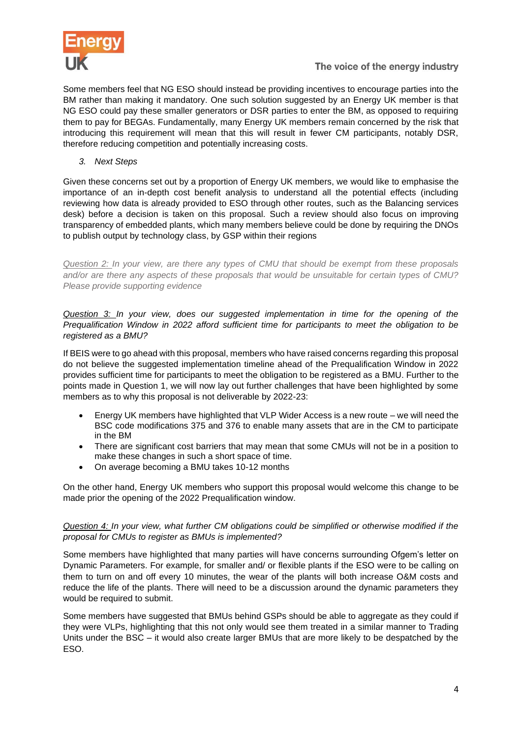

Some members feel that NG ESO should instead be providing incentives to encourage parties into the BM rather than making it mandatory. One such solution suggested by an Energy UK member is that NG ESO could pay these smaller generators or DSR parties to enter the BM, as opposed to requiring them to pay for BEGAs. Fundamentally, many Energy UK members remain concerned by the risk that introducing this requirement will mean that this will result in fewer CM participants, notably DSR, therefore reducing competition and potentially increasing costs.

*3. Next Steps* 

Given these concerns set out by a proportion of Energy UK members, we would like to emphasise the importance of an in-depth cost benefit analysis to understand all the potential effects (including reviewing how data is already provided to ESO through other routes, such as the Balancing services desk) before a decision is taken on this proposal. Such a review should also focus on improving transparency of embedded plants, which many members believe could be done by requiring the DNOs to publish output by technology class, by GSP within their regions

*Question 2: In your view, are there any types of CMU that should be exempt from these proposals and/or are there any aspects of these proposals that would be unsuitable for certain types of CMU? Please provide supporting evidence*

*Question 3: In your view, does our suggested implementation in time for the opening of the Prequalification Window in 2022 afford sufficient time for participants to meet the obligation to be registered as a BMU?*

If BEIS were to go ahead with this proposal, members who have raised concerns regarding this proposal do not believe the suggested implementation timeline ahead of the Prequalification Window in 2022 provides sufficient time for participants to meet the obligation to be registered as a BMU. Further to the points made in Question 1, we will now lay out further challenges that have been highlighted by some members as to why this proposal is not deliverable by 2022-23:

- Energy UK members have highlighted that VLP Wider Access is a new route we will need the BSC code modifications 375 and 376 to enable many assets that are in the CM to participate in the BM
- There are significant cost barriers that may mean that some CMUs will not be in a position to make these changes in such a short space of time.
- On average becoming a BMU takes 10-12 months

On the other hand, Energy UK members who support this proposal would welcome this change to be made prior the opening of the 2022 Prequalification window.

# *Question 4: In your view, what further CM obligations could be simplified or otherwise modified if the proposal for CMUs to register as BMUs is implemented?*

Some members have highlighted that many parties will have concerns surrounding Ofgem's letter on Dynamic Parameters. For example, for smaller and/ or flexible plants if the ESO were to be calling on them to turn on and off every 10 minutes, the wear of the plants will both increase O&M costs and reduce the life of the plants. There will need to be a discussion around the dynamic parameters they would be required to submit.

Some members have suggested that BMUs behind GSPs should be able to aggregate as they could if they were VLPs, highlighting that this not only would see them treated in a similar manner to Trading Units under the BSC – it would also create larger BMUs that are more likely to be despatched by the ESO.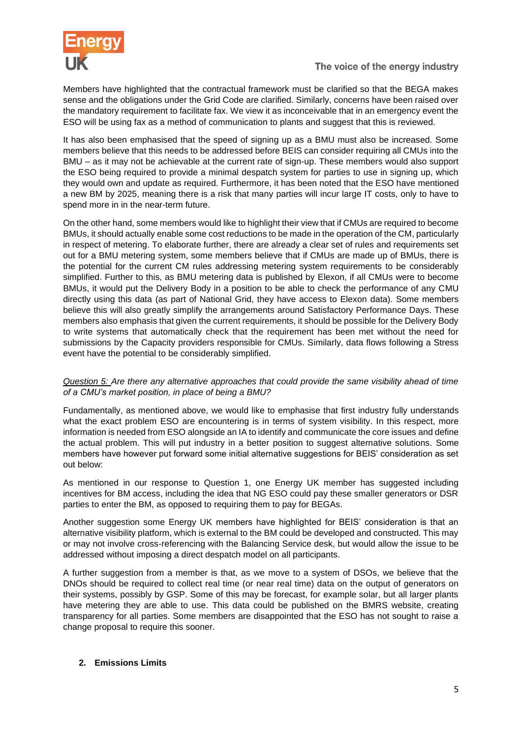

Members have highlighted that the contractual framework must be clarified so that the BEGA makes sense and the obligations under the Grid Code are clarified. Similarly, concerns have been raised over the mandatory requirement to facilitate fax. We view it as inconceivable that in an emergency event the ESO will be using fax as a method of communication to plants and suggest that this is reviewed.

It has also been emphasised that the speed of signing up as a BMU must also be increased. Some members believe that this needs to be addressed before BEIS can consider requiring all CMUs into the BMU – as it may not be achievable at the current rate of sign-up. These members would also support the ESO being required to provide a minimal despatch system for parties to use in signing up, which they would own and update as required. Furthermore, it has been noted that the ESO have mentioned a new BM by 2025, meaning there is a risk that many parties will incur large IT costs, only to have to spend more in in the near-term future.

On the other hand, some members would like to highlight their view that if CMUs are required to become BMUs, it should actually enable some cost reductions to be made in the operation of the CM, particularly in respect of metering. To elaborate further, there are already a clear set of rules and requirements set out for a BMU metering system, some members believe that if CMUs are made up of BMUs, there is the potential for the current CM rules addressing metering system requirements to be considerably simplified. Further to this, as BMU metering data is published by Elexon, if all CMUs were to become BMUs, it would put the Delivery Body in a position to be able to check the performance of any CMU directly using this data (as part of National Grid, they have access to Elexon data). Some members believe this will also greatly simplify the arrangements around Satisfactory Performance Days. These members also emphasis that given the current requirements, it should be possible for the Delivery Body to write systems that automatically check that the requirement has been met without the need for submissions by the Capacity providers responsible for CMUs. Similarly, data flows following a Stress event have the potential to be considerably simplified.

# *Question 5: Are there any alternative approaches that could provide the same visibility ahead of time of a CMU's market position, in place of being a BMU?*

Fundamentally, as mentioned above, we would like to emphasise that first industry fully understands what the exact problem ESO are encountering is in terms of system visibility. In this respect, more information is needed from ESO alongside an IA to identify and communicate the core issues and define the actual problem. This will put industry in a better position to suggest alternative solutions. Some members have however put forward some initial alternative suggestions for BEIS' consideration as set out below:

As mentioned in our response to Question 1, one Energy UK member has suggested including incentives for BM access, including the idea that NG ESO could pay these smaller generators or DSR parties to enter the BM, as opposed to requiring them to pay for BEGAs.

Another suggestion some Energy UK members have highlighted for BEIS' consideration is that an alternative visibility platform, which is external to the BM could be developed and constructed. This may or may not involve cross-referencing with the Balancing Service desk, but would allow the issue to be addressed without imposing a direct despatch model on all participants.

A further suggestion from a member is that, as we move to a system of DSOs, we believe that the DNOs should be required to collect real time (or near real time) data on the output of generators on their systems, possibly by GSP. Some of this may be forecast, for example solar, but all larger plants have metering they are able to use. This data could be published on the BMRS website, creating transparency for all parties. Some members are disappointed that the ESO has not sought to raise a change proposal to require this sooner.

# **2. Emissions Limits**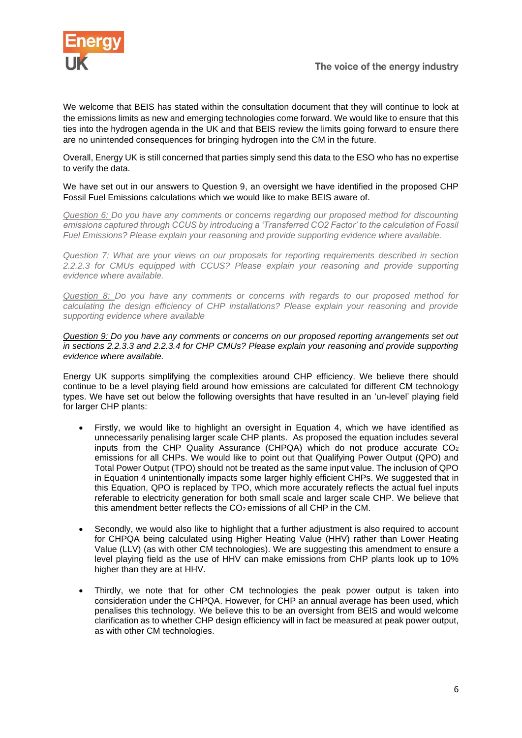

We welcome that BEIS has stated within the consultation document that they will continue to look at the emissions limits as new and emerging technologies come forward. We would like to ensure that this ties into the hydrogen agenda in the UK and that BEIS review the limits going forward to ensure there are no unintended consequences for bringing hydrogen into the CM in the future.

Overall, Energy UK is still concerned that parties simply send this data to the ESO who has no expertise to verify the data.

#### We have set out in our answers to Question 9, an oversight we have identified in the proposed CHP Fossil Fuel Emissions calculations which we would like to make BEIS aware of.

*Question 6: Do you have any comments or concerns regarding our proposed method for discounting emissions captured through CCUS by introducing a 'Transferred CO2 Factor' to the calculation of Fossil Fuel Emissions? Please explain your reasoning and provide supporting evidence where available.* 

*Question 7: What are your views on our proposals for reporting requirements described in section 2.2.2.3 for CMUs equipped with CCUS? Please explain your reasoning and provide supporting evidence where available.*

*Question 8: Do you have any comments or concerns with regards to our proposed method for calculating the design efficiency of CHP installations? Please explain your reasoning and provide supporting evidence where available*

*Question 9: Do you have any comments or concerns on our proposed reporting arrangements set out in sections 2.2.3.3 and 2.2.3.4 for CHP CMUs? Please explain your reasoning and provide supporting evidence where available.*

Energy UK supports simplifying the complexities around CHP efficiency. We believe there should continue to be a level playing field around how emissions are calculated for different CM technology types. We have set out below the following oversights that have resulted in an 'un-level' playing field for larger CHP plants:

- Firstly, we would like to highlight an oversight in Equation 4, which we have identified as unnecessarily penalising larger scale CHP plants. As proposed the equation includes several inputs from the CHP Quality Assurance (CHPQA) which do not produce accurate  $CO<sub>2</sub>$ emissions for all CHPs. We would like to point out that Qualifying Power Output (QPO) and Total Power Output (TPO) should not be treated as the same input value. The inclusion of QPO in Equation 4 unintentionally impacts some larger highly efficient CHPs. We suggested that in this Equation, QPO is replaced by TPO, which more accurately reflects the actual fuel inputs referable to electricity generation for both small scale and larger scale CHP. We believe that this amendment better reflects the  $CO<sub>2</sub>$  emissions of all CHP in the CM.
- Secondly, we would also like to highlight that a further adjustment is also required to account for CHPQA being calculated using Higher Heating Value (HHV) rather than Lower Heating Value (LLV) (as with other CM technologies). We are suggesting this amendment to ensure a level playing field as the use of HHV can make emissions from CHP plants look up to 10% higher than they are at HHV.
- Thirdly, we note that for other CM technologies the peak power output is taken into consideration under the CHPQA. However, for CHP an annual average has been used, which penalises this technology. We believe this to be an oversight from BEIS and would welcome clarification as to whether CHP design efficiency will in fact be measured at peak power output, as with other CM technologies.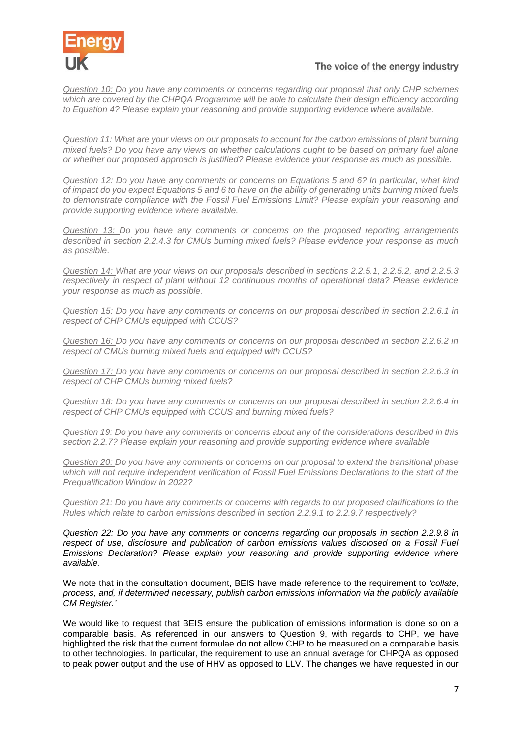

*Question 10: Do you have any comments or concerns regarding our proposal that only CHP schemes which are covered by the CHPQA Programme will be able to calculate their design efficiency according to Equation 4? Please explain your reasoning and provide supporting evidence where available.*

*Question 11: What are your views on our proposals to account for the carbon emissions of plant burning mixed fuels? Do you have any views on whether calculations ought to be based on primary fuel alone or whether our proposed approach is justified? Please evidence your response as much as possible.*

*Question 12: Do you have any comments or concerns on Equations 5 and 6? In particular, what kind of impact do you expect Equations 5 and 6 to have on the ability of generating units burning mixed fuels to demonstrate compliance with the Fossil Fuel Emissions Limit? Please explain your reasoning and provide supporting evidence where available.*

*Question 13: Do you have any comments or concerns on the proposed reporting arrangements described in section 2.2.4.3 for CMUs burning mixed fuels? Please evidence your response as much as possible*.

*Question 14: What are your views on our proposals described in sections 2.2.5.1, 2.2.5.2, and 2.2.5.3 respectively in respect of plant without 12 continuous months of operational data? Please evidence your response as much as possible.*

*Question 15: Do you have any comments or concerns on our proposal described in section 2.2.6.1 in respect of CHP CMUs equipped with CCUS?*

*Question 16: Do you have any comments or concerns on our proposal described in section 2.2.6.2 in respect of CMUs burning mixed fuels and equipped with CCUS?*

*Question 17: Do you have any comments or concerns on our proposal described in section 2.2.6.3 in respect of CHP CMUs burning mixed fuels?*

*Question 18: Do you have any comments or concerns on our proposal described in section 2.2.6.4 in respect of CHP CMUs equipped with CCUS and burning mixed fuels?*

*Question 19: Do you have any comments or concerns about any of the considerations described in this section 2.2.7? Please explain your reasoning and provide supporting evidence where available*

*Question 20: Do you have any comments or concerns on our proposal to extend the transitional phase which will not require independent verification of Fossil Fuel Emissions Declarations to the start of the Prequalification Window in 2022?*

*Question 21: Do you have any comments or concerns with regards to our proposed clarifications to the Rules which relate to carbon emissions described in section 2.2.9.1 to 2.2.9.7 respectively?*

*Question 22: Do you have any comments or concerns regarding our proposals in section 2.2.9.8 in respect of use, disclosure and publication of carbon emissions values disclosed on a Fossil Fuel Emissions Declaration? Please explain your reasoning and provide supporting evidence where available.*

We note that in the consultation document, BEIS have made reference to the requirement to *'collate, process, and, if determined necessary, publish carbon emissions information via the publicly available CM Register.'*

We would like to request that BEIS ensure the publication of emissions information is done so on a comparable basis. As referenced in our answers to Question 9, with regards to CHP, we have highlighted the risk that the current formulae do not allow CHP to be measured on a comparable basis to other technologies. In particular, the requirement to use an annual average for CHPQA as opposed to peak power output and the use of HHV as opposed to LLV. The changes we have requested in our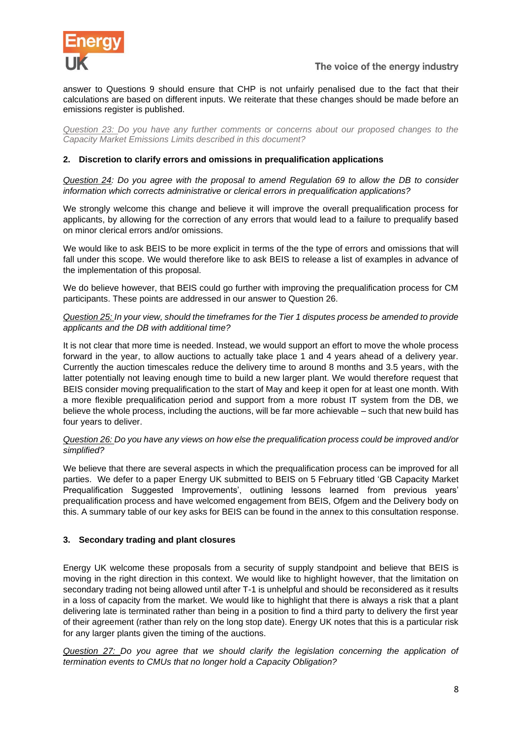

answer to Questions 9 should ensure that CHP is not unfairly penalised due to the fact that their calculations are based on different inputs. We reiterate that these changes should be made before an emissions register is published.

*Question 23: Do you have any further comments or concerns about our proposed changes to the Capacity Market Emissions Limits described in this document?*

# **2. Discretion to clarify errors and omissions in prequalification applications**

*Question 24: Do you agree with the proposal to amend Regulation 69 to allow the DB to consider information which corrects administrative or clerical errors in prequalification applications?*

We strongly welcome this change and believe it will improve the overall pregualification process for applicants, by allowing for the correction of any errors that would lead to a failure to prequalify based on minor clerical errors and/or omissions.

We would like to ask BEIS to be more explicit in terms of the the type of errors and omissions that will fall under this scope. We would therefore like to ask BEIS to release a list of examples in advance of the implementation of this proposal.

We do believe however, that BEIS could go further with improving the prequalification process for CM participants. These points are addressed in our answer to Question 26.

## *Question 25: In your view, should the timeframes for the Tier 1 disputes process be amended to provide applicants and the DB with additional time?*

It is not clear that more time is needed. Instead, we would support an effort to move the whole process forward in the year, to allow auctions to actually take place 1 and 4 years ahead of a delivery year. Currently the auction timescales reduce the delivery time to around 8 months and 3.5 years, with the latter potentially not leaving enough time to build a new larger plant. We would therefore request that BEIS consider moving prequalification to the start of May and keep it open for at least one month. With a more flexible prequalification period and support from a more robust IT system from the DB, we believe the whole process, including the auctions, will be far more achievable – such that new build has four years to deliver.

# *Question 26: Do you have any views on how else the prequalification process could be improved and/or simplified?*

We believe that there are several aspects in which the prequalification process can be improved for all parties. We defer to a paper Energy UK submitted to BEIS on 5 February titled 'GB Capacity Market Prequalification Suggested Improvements', outlining lessons learned from previous years' prequalification process and have welcomed engagement from BEIS, Ofgem and the Delivery body on this. A summary table of our key asks for BEIS can be found in the annex to this consultation response.

# **3. Secondary trading and plant closures**

Energy UK welcome these proposals from a security of supply standpoint and believe that BEIS is moving in the right direction in this context. We would like to highlight however, that the limitation on secondary trading not being allowed until after T-1 is unhelpful and should be reconsidered as it results in a loss of capacity from the market. We would like to highlight that there is always a risk that a plant delivering late is terminated rather than being in a position to find a third party to delivery the first year of their agreement (rather than rely on the long stop date). Energy UK notes that this is a particular risk for any larger plants given the timing of the auctions.

*Question 27: Do you agree that we should clarify the legislation concerning the application of termination events to CMUs that no longer hold a Capacity Obligation?*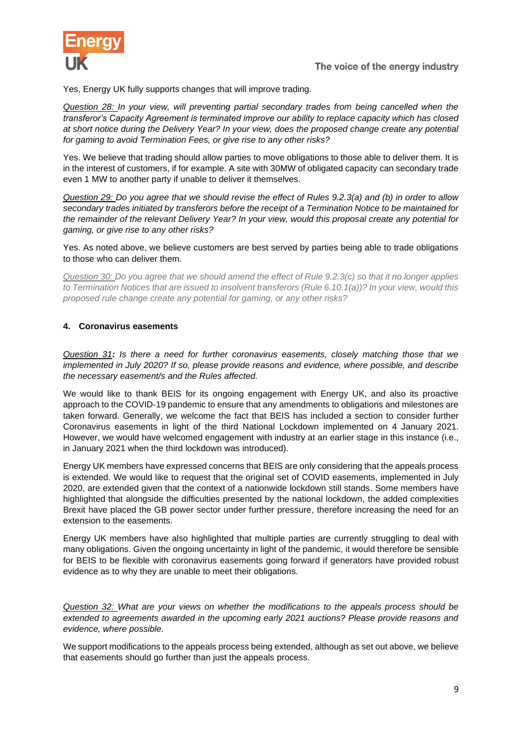

Yes, Energy UK fully supports changes that will improve trading.

*Question 28: In your view, will preventing partial secondary trades from being cancelled when the transferor's Capacity Agreement is terminated improve our ability to replace capacity which has closed at short notice during the Delivery Year? In your view, does the proposed change create any potential for gaming to avoid Termination Fees, or give rise to any other risks?*

Yes. We believe that trading should allow parties to move obligations to those able to deliver them. It is in the interest of customers, if for example. A site with 30MW of obligated capacity can secondary trade even 1 MW to another party if unable to deliver it themselves.

*Question 29: Do you agree that we should revise the effect of Rules 9.2.3(a) and (b) in order to allow secondary trades initiated by transferors before the receipt of a Termination Notice to be maintained for the remainder of the relevant Delivery Year? In your view, would this proposal create any potential for gaming, or give rise to any other risks?*

Yes. As noted above, we believe customers are best served by parties being able to trade obligations to those who can deliver them.

*Question 30: Do you agree that we should amend the effect of Rule 9.2.3(c) so that it no longer applies to Termination Notices that are issued to insolvent transferors (Rule 6.10.1(a))? In your view, would this proposed rule change create any potential for gaming, or any other risks?*

#### **4. Coronavirus easements**

*Question 31: Is there a need for further coronavirus easements, closely matching those that we implemented in July 2020? If so, please provide reasons and evidence, where possible, and describe the necessary easement/s and the Rules affected.*

We would like to thank BEIS for its ongoing engagement with Energy UK, and also its proactive approach to the COVID-19 pandemic to ensure that any amendments to obligations and milestones are taken forward. Generally, we welcome the fact that BEIS has included a section to consider further Coronavirus easements in light of the third National Lockdown implemented on 4 January 2021. However, we would have welcomed engagement with industry at an earlier stage in this instance (i.e., in January 2021 when the third lockdown was introduced).

Energy UK members have expressed concerns that BEIS are only considering that the appeals process is extended. We would like to request that the original set of COVID easements, implemented in July 2020, are extended given that the context of a nationwide lockdown still stands. Some members have highlighted that alongside the difficulties presented by the national lockdown, the added complexities Brexit have placed the GB power sector under further pressure, therefore increasing the need for an extension to the easements.

Energy UK members have also highlighted that multiple parties are currently struggling to deal with many obligations. Given the ongoing uncertainty in light of the pandemic, it would therefore be sensible for BEIS to be flexible with coronavirus easements going forward if generators have provided robust evidence as to why they are unable to meet their obligations.

*Question 32: What are your views on whether the modifications to the appeals process should be extended to agreements awarded in the upcoming early 2021 auctions? Please provide reasons and evidence, where possible.*

We support modifications to the appeals process being extended, although as set out above, we believe that easements should go further than just the appeals process.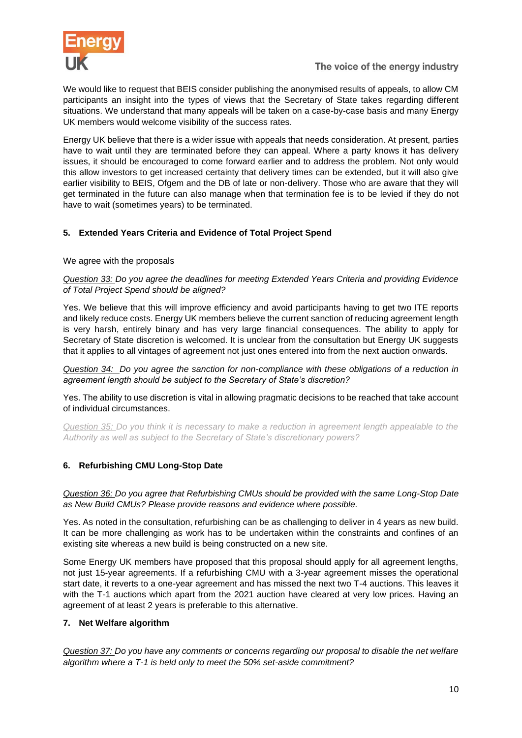

We would like to request that BEIS consider publishing the anonymised results of appeals, to allow CM participants an insight into the types of views that the Secretary of State takes regarding different situations. We understand that many appeals will be taken on a case-by-case basis and many Energy UK members would welcome visibility of the success rates.

Energy UK believe that there is a wider issue with appeals that needs consideration. At present, parties have to wait until they are terminated before they can appeal. Where a party knows it has delivery issues, it should be encouraged to come forward earlier and to address the problem. Not only would this allow investors to get increased certainty that delivery times can be extended, but it will also give earlier visibility to BEIS, Ofgem and the DB of late or non-delivery. Those who are aware that they will get terminated in the future can also manage when that termination fee is to be levied if they do not have to wait (sometimes years) to be terminated.

# **5. Extended Years Criteria and Evidence of Total Project Spend**

# We agree with the proposals

*Question 33: Do you agree the deadlines for meeting Extended Years Criteria and providing Evidence of Total Project Spend should be aligned?*

Yes. We believe that this will improve efficiency and avoid participants having to get two ITE reports and likely reduce costs. Energy UK members believe the current sanction of reducing agreement length is very harsh, entirely binary and has very large financial consequences. The ability to apply for Secretary of State discretion is welcomed. It is unclear from the consultation but Energy UK suggests that it applies to all vintages of agreement not just ones entered into from the next auction onwards.

*Question 34: Do you agree the sanction for non-compliance with these obligations of a reduction in agreement length should be subject to the Secretary of State's discretion?*

Yes. The ability to use discretion is vital in allowing pragmatic decisions to be reached that take account of individual circumstances.

*Question 35: Do you think it is necessary to make a reduction in agreement length appealable to the Authority as well as subject to the Secretary of State's discretionary powers?*

# **6. Refurbishing CMU Long-Stop Date**

*Question 36: Do you agree that Refurbishing CMUs should be provided with the same Long-Stop Date as New Build CMUs? Please provide reasons and evidence where possible.*

Yes. As noted in the consultation, refurbishing can be as challenging to deliver in 4 years as new build. It can be more challenging as work has to be undertaken within the constraints and confines of an existing site whereas a new build is being constructed on a new site.

Some Energy UK members have proposed that this proposal should apply for all agreement lengths, not just 15-year agreements. If a refurbishing CMU with a 3-year agreement misses the operational start date, it reverts to a one-year agreement and has missed the next two T-4 auctions. This leaves it with the T-1 auctions which apart from the 2021 auction have cleared at very low prices. Having an agreement of at least 2 years is preferable to this alternative.

# **7. Net Welfare algorithm**

*Question 37: Do you have any comments or concerns regarding our proposal to disable the net welfare algorithm where a T-1 is held only to meet the 50% set-aside commitment?*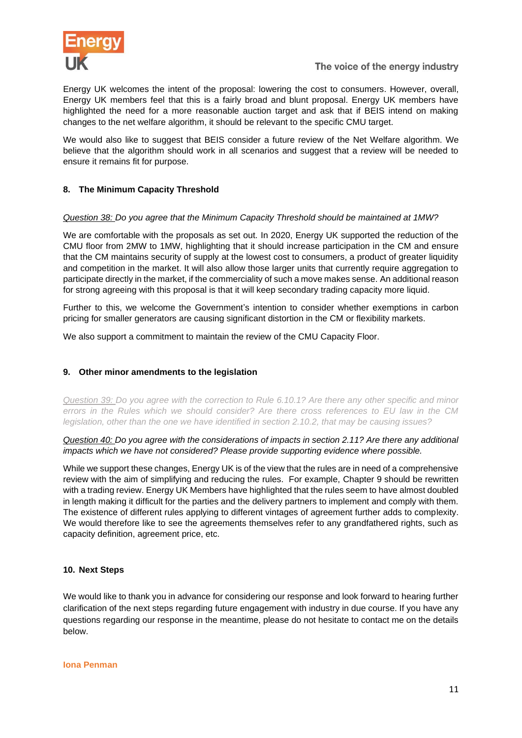

Energy UK welcomes the intent of the proposal: lowering the cost to consumers. However, overall, Energy UK members feel that this is a fairly broad and blunt proposal. Energy UK members have highlighted the need for a more reasonable auction target and ask that if BEIS intend on making changes to the net welfare algorithm, it should be relevant to the specific CMU target.

We would also like to suggest that BEIS consider a future review of the Net Welfare algorithm. We believe that the algorithm should work in all scenarios and suggest that a review will be needed to ensure it remains fit for purpose.

# **8. The Minimum Capacity Threshold**

# *Question 38: Do you agree that the Minimum Capacity Threshold should be maintained at 1MW?*

We are comfortable with the proposals as set out. In 2020, Energy UK supported the reduction of the CMU floor from 2MW to 1MW, highlighting that it should increase participation in the CM and ensure that the CM maintains security of supply at the lowest cost to consumers, a product of greater liquidity and competition in the market. It will also allow those larger units that currently require aggregation to participate directly in the market, if the commerciality of such a move makes sense. An additional reason for strong agreeing with this proposal is that it will keep secondary trading capacity more liquid.

Further to this, we welcome the Government's intention to consider whether exemptions in carbon pricing for smaller generators are causing significant distortion in the CM or flexibility markets.

We also support a commitment to maintain the review of the CMU Capacity Floor.

# **9. Other minor amendments to the legislation**

*Question 39: Do you agree with the correction to Rule 6.10.1? Are there any other specific and minor errors in the Rules which we should consider? Are there cross references to EU law in the CM legislation, other than the one we have identified in section 2.10.2, that may be causing issues?*

*Question 40: Do you agree with the considerations of impacts in section 2.11? Are there any additional impacts which we have not considered? Please provide supporting evidence where possible.*

While we support these changes, Energy UK is of the view that the rules are in need of a comprehensive review with the aim of simplifying and reducing the rules. For example, Chapter 9 should be rewritten with a trading review. Energy UK Members have highlighted that the rules seem to have almost doubled in length making it difficult for the parties and the delivery partners to implement and comply with them. The existence of different rules applying to different vintages of agreement further adds to complexity. We would therefore like to see the agreements themselves refer to any grandfathered rights, such as capacity definition, agreement price, etc.

# **10. Next Steps**

We would like to thank you in advance for considering our response and look forward to hearing further clarification of the next steps regarding future engagement with industry in due course. If you have any questions regarding our response in the meantime, please do not hesitate to contact me on the details below.

#### **Iona Penman**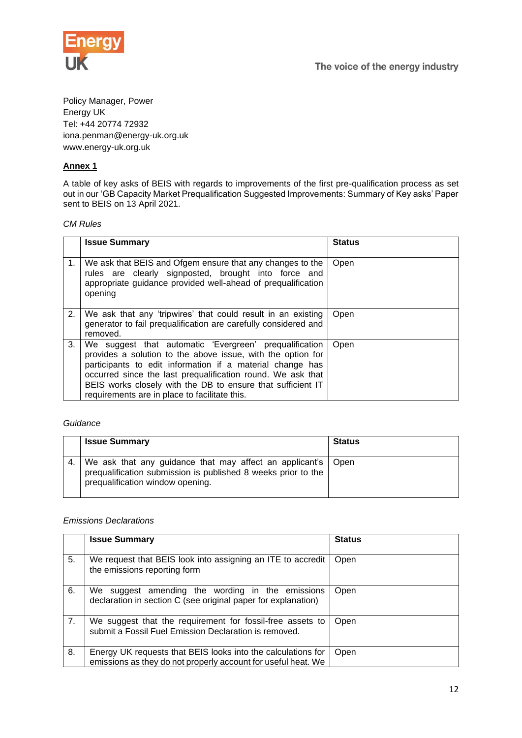

Policy Manager, Power Energy UK Tel: +44 20774 72932 iona.penman@energy-uk.org.uk www.energy-uk.org.uk

# **Annex 1**

A table of key asks of BEIS with regards to improvements of the first pre-qualification process as set out in our 'GB Capacity Market Prequalification Suggested Improvements: Summary of Key asks' Paper sent to BEIS on 13 April 2021.

#### *CM Rules*

|    | <b>Issue Summary</b>                                                                                                                                                                                                                                                                                                                                              | <b>Status</b> |
|----|-------------------------------------------------------------------------------------------------------------------------------------------------------------------------------------------------------------------------------------------------------------------------------------------------------------------------------------------------------------------|---------------|
| 1. | We ask that BEIS and Ofgem ensure that any changes to the<br>rules are clearly signposted, brought into force and<br>appropriate guidance provided well-ahead of prequalification<br>opening                                                                                                                                                                      | Open          |
| 2. | We ask that any 'tripwires' that could result in an existing<br>generator to fail prequalification are carefully considered and<br>removed.                                                                                                                                                                                                                       | Open          |
| 3. | We suggest that automatic 'Evergreen' prequalification<br>provides a solution to the above issue, with the option for<br>participants to edit information if a material change has<br>occurred since the last prequalification round. We ask that<br>BEIS works closely with the DB to ensure that sufficient IT<br>requirements are in place to facilitate this. | Open          |

#### *Guidance*

| <b>Issue Summary</b>                                                                                                                                                | <b>Status</b> |
|---------------------------------------------------------------------------------------------------------------------------------------------------------------------|---------------|
| We ask that any guidance that may affect an applicant's   Open<br>prequalification submission is published 8 weeks prior to the<br>prequalification window opening. |               |

#### *Emissions Declarations*

|    | <b>Issue Summary</b>                                                                                                          | <b>Status</b> |
|----|-------------------------------------------------------------------------------------------------------------------------------|---------------|
| 5. | We request that BEIS look into assigning an ITE to accredit<br>the emissions reporting form                                   | Open          |
| 6. | We suggest amending the wording in the emissions<br>declaration in section C (see original paper for explanation)             | Open          |
| 7. | We suggest that the requirement for fossil-free assets to<br>submit a Fossil Fuel Emission Declaration is removed.            | Open          |
| 8. | Energy UK requests that BEIS looks into the calculations for<br>emissions as they do not properly account for useful heat. We | Open          |